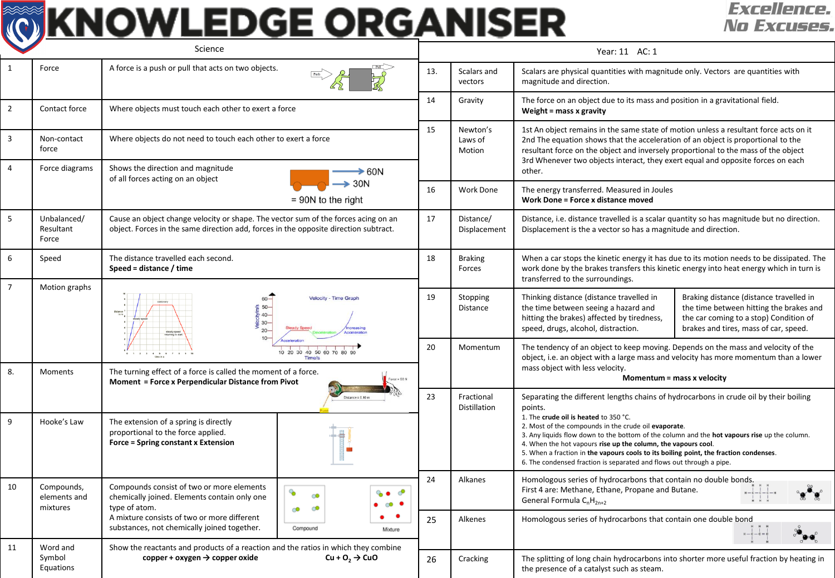## **TO KNOWLEDGE ORGANISER**

## **Excellence.** No Excuses.

| Science                          |                                        |                                                                                                                                                                                                                                                                                                                                                                                                                       |                             | Year: 11 AC: 1 |                                   |                                                                                                                                                                                                                                                                                                                                                                                                                                                  |                                                                                                                                                                       |  |  |  |
|----------------------------------|----------------------------------------|-----------------------------------------------------------------------------------------------------------------------------------------------------------------------------------------------------------------------------------------------------------------------------------------------------------------------------------------------------------------------------------------------------------------------|-----------------------------|----------------|-----------------------------------|--------------------------------------------------------------------------------------------------------------------------------------------------------------------------------------------------------------------------------------------------------------------------------------------------------------------------------------------------------------------------------------------------------------------------------------------------|-----------------------------------------------------------------------------------------------------------------------------------------------------------------------|--|--|--|
| $\mathbf{1}$                     | Force                                  | A force is a push or pull that acts on two objects.                                                                                                                                                                                                                                                                                                                                                                   |                             | 13.            | Scalars and<br>vectors            | Scalars are physical quantities with magnitude only. Vectors are quantities with<br>magnitude and direction.                                                                                                                                                                                                                                                                                                                                     |                                                                                                                                                                       |  |  |  |
| $\overline{2}$                   | Contact force                          | Where objects must touch each other to exert a force                                                                                                                                                                                                                                                                                                                                                                  |                             | 14             | Gravity                           | The force on an object due to its mass and position in a gravitational field.<br>Weight = $mass x$ gravity                                                                                                                                                                                                                                                                                                                                       |                                                                                                                                                                       |  |  |  |
| $\overline{3}$<br>$\overline{4}$ | Non-contact<br>force<br>Force diagrams | Where objects do not need to touch each other to exert a force<br>Shows the direction and magnitude<br>$\blacktriangleright$ 60N<br>of all forces acting on an object<br>$\geq 30N$<br>$= 90N$ to the right                                                                                                                                                                                                           |                             | 15             | Newton's<br>Laws of<br>Motion     | 1st An object remains in the same state of motion unless a resultant force acts on it<br>2nd The equation shows that the acceleration of an object is proportional to the<br>resultant force on the object and inversely proportional to the mass of the object<br>3rd Whenever two objects interact, they exert equal and opposite forces on each<br>other.<br>The energy transferred. Measured in Joules<br>Work Done = Force x distance moved |                                                                                                                                                                       |  |  |  |
|                                  |                                        |                                                                                                                                                                                                                                                                                                                                                                                                                       |                             | 16             | Work Done                         |                                                                                                                                                                                                                                                                                                                                                                                                                                                  |                                                                                                                                                                       |  |  |  |
| 5                                | Unbalanced/<br>Resultant<br>Force      | Cause an object change velocity or shape. The vector sum of the forces acing on an<br>object. Forces in the same direction add, forces in the opposite direction subtract.                                                                                                                                                                                                                                            |                             | 17             | Distance/<br>Displacement         | Distance, i.e. distance travelled is a scalar quantity so has magnitude but no direction.<br>Displacement is the a vector so has a magnitude and direction.                                                                                                                                                                                                                                                                                      |                                                                                                                                                                       |  |  |  |
| 6                                | Speed                                  | The distance travelled each second.<br>Speed = distance / time                                                                                                                                                                                                                                                                                                                                                        |                             | 18             | <b>Braking</b><br>Forces          | When a car stops the kinetic energy it has due to its motion needs to be dissipated. The<br>work done by the brakes transfers this kinetic energy into heat energy which in turn is<br>transferred to the surroundings.                                                                                                                                                                                                                          |                                                                                                                                                                       |  |  |  |
| $\overline{7}$                   | Motion graphs                          | $50-$<br>$40 -$<br>$30 -$<br>$20 -$                                                                                                                                                                                                                                                                                                                                                                                   | <b>Velocity - Time Grap</b> |                | Stopping<br>Distance              | Thinking distance (distance travelled in<br>the time between seeing a hazard and<br>hitting the brakes) affected by tiredness,<br>speed, drugs, alcohol, distraction.                                                                                                                                                                                                                                                                            | Braking distance (distance travelled in<br>the time between hitting the brakes and<br>the car coming to a stop) Condition of<br>brakes and tires, mass of car, speed. |  |  |  |
| 8.                               | <b>Moments</b>                         | 10 20 30 40 50 60 70 80<br>Time/s<br>The turning effect of a force is called the moment of a force.<br>Moment = Force x Perpendicular Distance from Pivot                                                                                                                                                                                                                                                             |                             | 20             | Momentum                          | The tendency of an object to keep moving. Depends on the mass and velocity of the<br>object, i.e. an object with a large mass and velocity has more momentum than a lower<br>mass object with less velocity.<br>Momentum = mass x velocity                                                                                                                                                                                                       |                                                                                                                                                                       |  |  |  |
|                                  |                                        |                                                                                                                                                                                                                                                                                                                                                                                                                       | $ance = 0.10 \text{ m}$     |                | Fractional<br><b>Distillation</b> | Separating the different lengths chains of hydrocarbons in crude oil by their boiling<br>points.                                                                                                                                                                                                                                                                                                                                                 |                                                                                                                                                                       |  |  |  |
| 9                                | Hooke's Law                            | The extension of a spring is directly<br>proportional to the force applied.<br><b>Force = Spring constant x Extension</b>                                                                                                                                                                                                                                                                                             |                             |                |                                   | 1. The crude oil is heated to 350 °C.<br>2. Most of the compounds in the crude oil evaporate.<br>3. Any liquids flow down to the bottom of the column and the hot vapours rise up the column.<br>4. When the hot vapours rise up the column, the vapours cool.<br>5. When a fraction in the vapours cools to its boiling point, the fraction condenses.<br>6. The condensed fraction is separated and flows out through a pipe.                  |                                                                                                                                                                       |  |  |  |
| 10                               | Compounds,<br>elements and<br>mixtures | Compounds consist of two or more elements<br>ዔ<br>ා<br>chemically joined. Elements contain only one<br>type of atom.<br>$\circ$<br>A mixture consists of two or more different<br>substances, not chemically joined together.<br>Compound<br>Mixture<br>Show the reactants and products of a reaction and the ratios in which they combine<br>$Cu + O2 \rightarrow CuO$<br>$copper + oxygen \rightarrow copper oxide$ |                             | 24             | Alkanes                           | Homologous series of hydrocarbons that contain no double bonds.<br>First 4 are: Methane, Ethane, Propane and Butane.<br>General Formula $C_nH_{2n+2}$                                                                                                                                                                                                                                                                                            |                                                                                                                                                                       |  |  |  |
|                                  |                                        |                                                                                                                                                                                                                                                                                                                                                                                                                       |                             | 25             | Alkenes                           | Homologous series of hydrocarbons that contain one double bond                                                                                                                                                                                                                                                                                                                                                                                   |                                                                                                                                                                       |  |  |  |
| 11                               | Word and<br>Symbol<br>Equations        |                                                                                                                                                                                                                                                                                                                                                                                                                       |                             | 26             | Cracking                          | The splitting of long chain hydrocarbons into shorter more useful fraction by heating in<br>the presence of a catalyst such as steam.                                                                                                                                                                                                                                                                                                            |                                                                                                                                                                       |  |  |  |